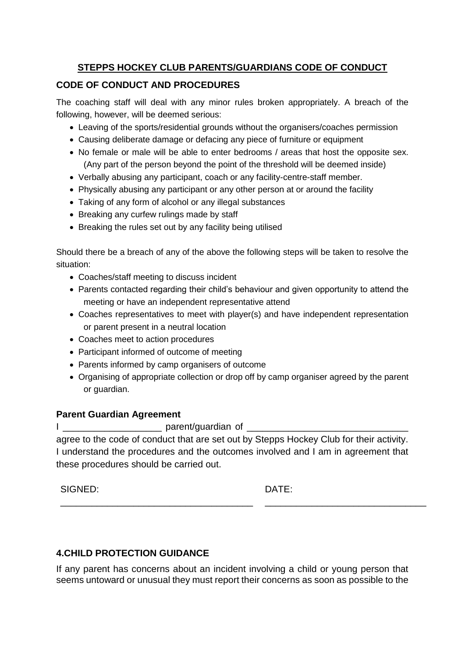# **STEPPS HOCKEY CLUB PARENTS/GUARDIANS CODE OF CONDUCT**

## **CODE OF CONDUCT AND PROCEDURES**

The coaching staff will deal with any minor rules broken appropriately. A breach of the following, however, will be deemed serious:

- Leaving of the sports/residential grounds without the organisers/coaches permission
- Causing deliberate damage or defacing any piece of furniture or equipment
- No female or male will be able to enter bedrooms / areas that host the opposite sex. (Any part of the person beyond the point of the threshold will be deemed inside)
- Verbally abusing any participant, coach or any facility-centre-staff member.
- Physically abusing any participant or any other person at or around the facility
- Taking of any form of alcohol or any illegal substances
- Breaking any curfew rulings made by staff
- Breaking the rules set out by any facility being utilised

Should there be a breach of any of the above the following steps will be taken to resolve the situation:

- Coaches/staff meeting to discuss incident
- Parents contacted regarding their child's behaviour and given opportunity to attend the meeting or have an independent representative attend
- Coaches representatives to meet with player(s) and have independent representation or parent present in a neutral location
- Coaches meet to action procedures
- Participant informed of outcome of meeting

\_\_\_\_\_\_\_\_\_\_\_\_\_\_\_\_\_\_\_\_\_\_\_\_\_\_\_\_\_\_\_\_\_\_\_\_\_

- Parents informed by camp organisers of outcome
- Organising of appropriate collection or drop off by camp organiser agreed by the parent or guardian.

### **Parent Guardian Agreement**

I \_\_\_\_\_\_\_\_\_\_\_\_\_\_\_\_\_\_\_ parent/guardian of \_\_\_\_\_\_\_\_\_\_\_\_\_\_\_\_\_\_\_\_\_\_\_\_\_\_\_\_\_\_\_

agree to the code of conduct that are set out by Stepps Hockey Club for their activity. I understand the procedures and the outcomes involved and I am in agreement that these procedures should be carried out.

SIGNED:

DATE:

\_\_\_\_\_\_\_\_\_\_\_\_\_\_\_\_\_\_\_\_\_\_\_\_\_\_\_\_\_\_\_

## **4.CHILD PROTECTION GUIDANCE**

If any parent has concerns about an incident involving a child or young person that seems untoward or unusual they must report their concerns as soon as possible to the